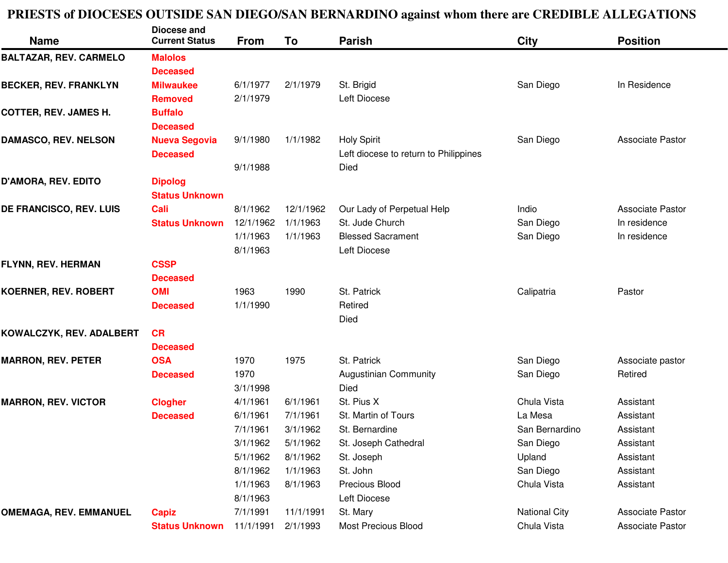## **PRIESTS of DIOCESES OUTSIDE SAN DIEGO/SAN BERNARDINO against whom there are CREDIBLE ALLEGATIONS**

| <b>Name</b>                   | Diocese and<br><b>Current Status</b> | <b>From</b> | To        | <b>Parish</b>                         | <b>City</b>          | <b>Position</b>         |
|-------------------------------|--------------------------------------|-------------|-----------|---------------------------------------|----------------------|-------------------------|
| <b>BALTAZAR, REV. CARMELO</b> | <b>Malolos</b>                       |             |           |                                       |                      |                         |
|                               | <b>Deceased</b>                      |             |           |                                       |                      |                         |
| <b>BECKER, REV. FRANKLYN</b>  | <b>Milwaukee</b>                     | 6/1/1977    | 2/1/1979  | St. Brigid                            | San Diego            | In Residence            |
|                               | <b>Removed</b>                       | 2/1/1979    |           | Left Diocese                          |                      |                         |
| <b>COTTER, REV. JAMES H.</b>  | <b>Buffalo</b>                       |             |           |                                       |                      |                         |
|                               | <b>Deceased</b>                      |             |           |                                       |                      |                         |
| DAMASCO, REV. NELSON          | <b>Nueva Segovia</b>                 | 9/1/1980    | 1/1/1982  | <b>Holy Spirit</b>                    | San Diego            | Associate Pastor        |
|                               | <b>Deceased</b>                      |             |           | Left diocese to return to Philippines |                      |                         |
|                               |                                      | 9/1/1988    |           | Died                                  |                      |                         |
| D'AMORA, REV. EDITO           | <b>Dipolog</b>                       |             |           |                                       |                      |                         |
|                               | <b>Status Unknown</b>                |             |           |                                       |                      |                         |
| DE FRANCISCO, REV. LUIS       | Cali                                 | 8/1/1962    | 12/1/1962 | Our Lady of Perpetual Help            | Indio                | <b>Associate Pastor</b> |
|                               | <b>Status Unknown</b>                | 12/1/1962   | 1/1/1963  | St. Jude Church                       | San Diego            | In residence            |
|                               |                                      | 1/1/1963    | 1/1/1963  | <b>Blessed Sacrament</b>              | San Diego            | In residence            |
|                               |                                      | 8/1/1963    |           | Left Diocese                          |                      |                         |
| FLYNN, REV. HERMAN            | <b>CSSP</b>                          |             |           |                                       |                      |                         |
|                               | <b>Deceased</b>                      |             |           |                                       |                      |                         |
| <b>KOERNER, REV. ROBERT</b>   | <b>OMI</b>                           | 1963        | 1990      | St. Patrick                           | Calipatria           | Pastor                  |
|                               | <b>Deceased</b>                      | 1/1/1990    |           | Retired                               |                      |                         |
|                               |                                      |             |           | Died                                  |                      |                         |
| KOWALCZYK, REV. ADALBERT      | <b>CR</b>                            |             |           |                                       |                      |                         |
|                               | <b>Deceased</b>                      |             |           |                                       |                      |                         |
| <b>MARRON, REV. PETER</b>     | <b>OSA</b>                           | 1970        | 1975      | St. Patrick                           | San Diego            | Associate pastor        |
|                               | <b>Deceased</b>                      | 1970        |           | <b>Augustinian Community</b>          | San Diego            | Retired                 |
|                               |                                      | 3/1/1998    |           | Died                                  |                      |                         |
| <b>MARRON, REV. VICTOR</b>    | <b>Clogher</b>                       | 4/1/1961    | 6/1/1961  | St. Pius X                            | Chula Vista          | Assistant               |
|                               | <b>Deceased</b>                      | 6/1/1961    | 7/1/1961  | St. Martin of Tours                   | La Mesa              | Assistant               |
|                               |                                      | 7/1/1961    | 3/1/1962  | St. Bernardine                        | San Bernardino       | Assistant               |
|                               |                                      | 3/1/1962    | 5/1/1962  | St. Joseph Cathedral                  | San Diego            | Assistant               |
|                               |                                      | 5/1/1962    | 8/1/1962  | St. Joseph                            | Upland               | Assistant               |
|                               |                                      | 8/1/1962    | 1/1/1963  | St. John                              | San Diego            | Assistant               |
|                               |                                      | 1/1/1963    | 8/1/1963  | Precious Blood                        | Chula Vista          | Assistant               |
|                               |                                      | 8/1/1963    |           | Left Diocese                          |                      |                         |
| <b>OMEMAGA, REV. EMMANUEL</b> | <b>Capiz</b>                         | 7/1/1991    | 11/1/1991 | St. Mary                              | <b>National City</b> | Associate Pastor        |
|                               | <b>Status Unknown</b>                | 11/1/1991   | 2/1/1993  | Most Precious Blood                   | Chula Vista          | Associate Pastor        |
|                               |                                      |             |           |                                       |                      |                         |